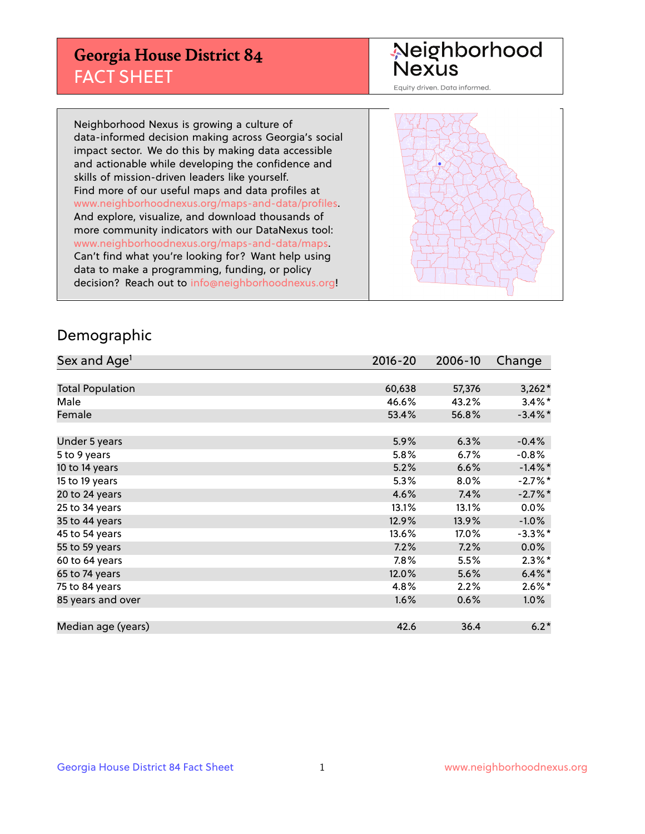## **Georgia House District 84** FACT SHEET

# Neighborhood<br>Nexus

Equity driven. Data informed.

Neighborhood Nexus is growing a culture of data-informed decision making across Georgia's social impact sector. We do this by making data accessible and actionable while developing the confidence and skills of mission-driven leaders like yourself. Find more of our useful maps and data profiles at www.neighborhoodnexus.org/maps-and-data/profiles. And explore, visualize, and download thousands of more community indicators with our DataNexus tool: www.neighborhoodnexus.org/maps-and-data/maps. Can't find what you're looking for? Want help using data to make a programming, funding, or policy decision? Reach out to [info@neighborhoodnexus.org!](mailto:info@neighborhoodnexus.org)



### Demographic

| Sex and Age <sup>1</sup> | $2016 - 20$ | 2006-10 | Change     |
|--------------------------|-------------|---------|------------|
|                          |             |         |            |
| <b>Total Population</b>  | 60,638      | 57,376  | $3,262*$   |
| Male                     | 46.6%       | 43.2%   | $3.4\%$ *  |
| Female                   | 53.4%       | 56.8%   | $-3.4\%$ * |
|                          |             |         |            |
| Under 5 years            | 5.9%        | 6.3%    | $-0.4%$    |
| 5 to 9 years             | 5.8%        | 6.7%    | $-0.8%$    |
| 10 to 14 years           | 5.2%        | 6.6%    | $-1.4\%$ * |
| 15 to 19 years           | 5.3%        | 8.0%    | $-2.7%$ *  |
| 20 to 24 years           | 4.6%        | 7.4%    | $-2.7%$ *  |
| 25 to 34 years           | 13.1%       | 13.1%   | $0.0\%$    |
| 35 to 44 years           | 12.9%       | 13.9%   | $-1.0%$    |
| 45 to 54 years           | 13.6%       | 17.0%   | $-3.3\%$ * |
| 55 to 59 years           | 7.2%        | 7.2%    | 0.0%       |
| 60 to 64 years           | $7.8\%$     | 5.5%    | $2.3\%$ *  |
| 65 to 74 years           | 12.0%       | 5.6%    | $6.4\%$ *  |
| 75 to 84 years           | 4.8%        | 2.2%    | $2.6\%$ *  |
| 85 years and over        | 1.6%        | 0.6%    | 1.0%       |
|                          |             |         |            |
| Median age (years)       | 42.6        | 36.4    | $6.2*$     |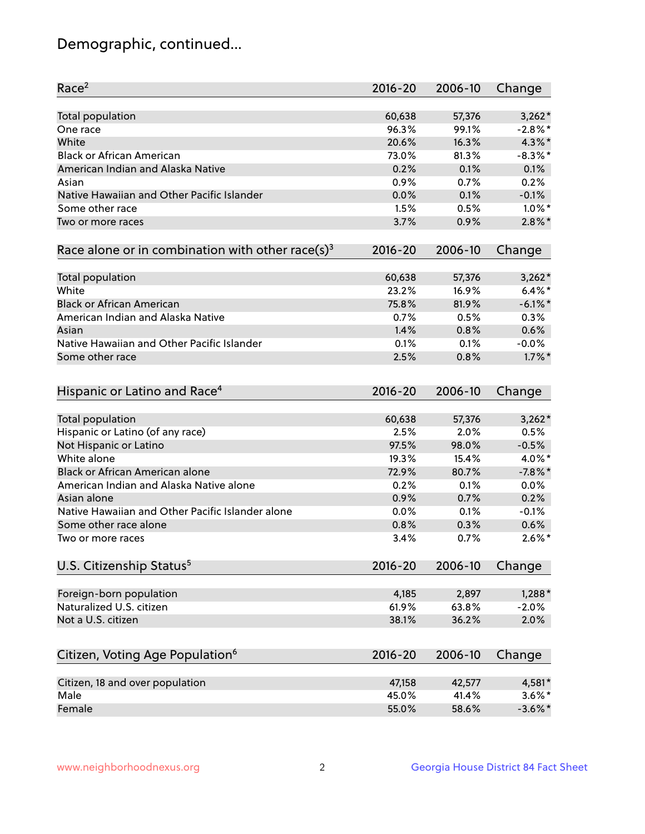## Demographic, continued...

| Race <sup>2</sup>                                            | $2016 - 20$ | 2006-10 | Change     |
|--------------------------------------------------------------|-------------|---------|------------|
| <b>Total population</b>                                      | 60,638      | 57,376  | $3,262*$   |
| One race                                                     | 96.3%       | 99.1%   | $-2.8\%$ * |
| White                                                        | 20.6%       | 16.3%   | 4.3%*      |
| <b>Black or African American</b>                             | 73.0%       | 81.3%   | $-8.3\%$ * |
| American Indian and Alaska Native                            | 0.2%        | 0.1%    | 0.1%       |
| Asian                                                        | 0.9%        | 0.7%    | 0.2%       |
| Native Hawaiian and Other Pacific Islander                   | 0.0%        | 0.1%    | $-0.1%$    |
| Some other race                                              | 1.5%        | 0.5%    | $1.0\%$ *  |
| Two or more races                                            | 3.7%        | 0.9%    | $2.8\%$ *  |
| Race alone or in combination with other race(s) <sup>3</sup> | $2016 - 20$ | 2006-10 | Change     |
| Total population                                             | 60,638      | 57,376  | $3,262*$   |
| White                                                        | 23.2%       | 16.9%   | $6.4\%$ *  |
| <b>Black or African American</b>                             | 75.8%       | 81.9%   | $-6.1\%$ * |
| American Indian and Alaska Native                            | 0.7%        | 0.5%    | 0.3%       |
| Asian                                                        | 1.4%        | 0.8%    | 0.6%       |
| Native Hawaiian and Other Pacific Islander                   | 0.1%        | 0.1%    | $-0.0%$    |
| Some other race                                              | 2.5%        | 0.8%    | $1.7\%$ *  |
| Hispanic or Latino and Race <sup>4</sup>                     | $2016 - 20$ | 2006-10 | Change     |
| Total population                                             | 60,638      | 57,376  | $3,262*$   |
| Hispanic or Latino (of any race)                             | 2.5%        | 2.0%    | 0.5%       |
| Not Hispanic or Latino                                       | 97.5%       | 98.0%   | $-0.5%$    |
| White alone                                                  | 19.3%       | 15.4%   | 4.0%*      |
| Black or African American alone                              | 72.9%       | 80.7%   | $-7.8\%$ * |
| American Indian and Alaska Native alone                      | 0.2%        | 0.1%    | 0.0%       |
| Asian alone                                                  | 0.9%        | 0.7%    | 0.2%       |
| Native Hawaiian and Other Pacific Islander alone             | 0.0%        | 0.1%    | $-0.1%$    |
| Some other race alone                                        | 0.8%        | 0.3%    | 0.6%       |
| Two or more races                                            | 3.4%        | 0.7%    | $2.6\%$ *  |
| U.S. Citizenship Status <sup>5</sup>                         | $2016 - 20$ | 2006-10 | Change     |
| Foreign-born population                                      | 4,185       | 2,897   | $1,288*$   |
| Naturalized U.S. citizen                                     | 61.9%       | 63.8%   | $-2.0%$    |
| Not a U.S. citizen                                           | 38.1%       | 36.2%   | 2.0%       |
|                                                              |             |         |            |
| Citizen, Voting Age Population <sup>6</sup>                  | 2016-20     | 2006-10 | Change     |
| Citizen, 18 and over population                              | 47,158      | 42,577  | 4,581*     |
| Male                                                         | 45.0%       | 41.4%   | $3.6\%$ *  |
| Female                                                       | 55.0%       | 58.6%   | $-3.6\%$ * |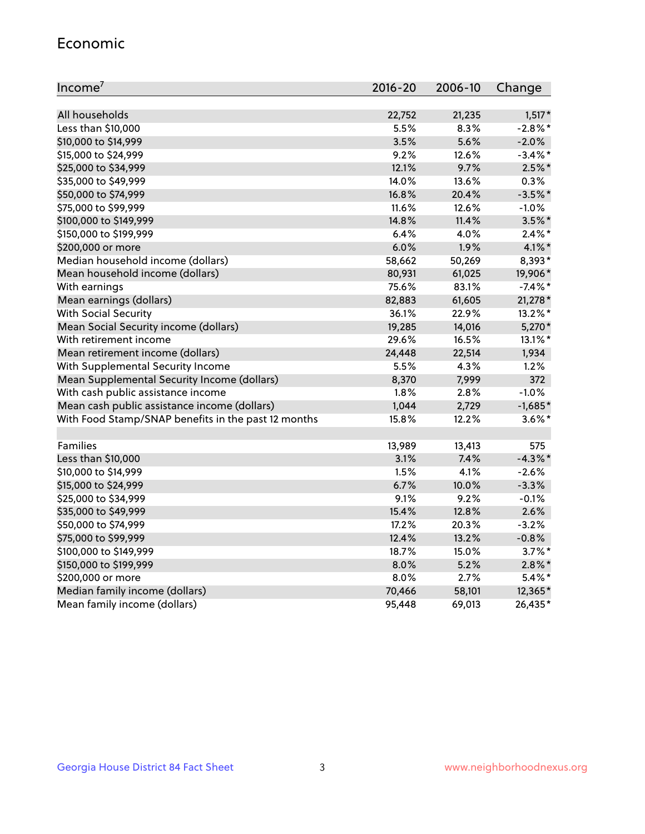#### Economic

| Income <sup>7</sup>                                 | 2016-20 | 2006-10 | Change     |
|-----------------------------------------------------|---------|---------|------------|
|                                                     |         |         |            |
| All households                                      | 22,752  | 21,235  | $1,517*$   |
| Less than \$10,000                                  | 5.5%    | 8.3%    | $-2.8\%$ * |
| \$10,000 to \$14,999                                | 3.5%    | 5.6%    | $-2.0%$    |
| \$15,000 to \$24,999                                | 9.2%    | 12.6%   | $-3.4\%$ * |
| \$25,000 to \$34,999                                | 12.1%   | 9.7%    | $2.5\%$ *  |
| \$35,000 to \$49,999                                | 14.0%   | 13.6%   | 0.3%       |
| \$50,000 to \$74,999                                | 16.8%   | 20.4%   | $-3.5%$ *  |
| \$75,000 to \$99,999                                | 11.6%   | 12.6%   | $-1.0%$    |
| \$100,000 to \$149,999                              | 14.8%   | 11.4%   | $3.5%$ *   |
| \$150,000 to \$199,999                              | 6.4%    | 4.0%    | $2.4\%$ *  |
| \$200,000 or more                                   | 6.0%    | 1.9%    | $4.1\%$ *  |
| Median household income (dollars)                   | 58,662  | 50,269  | 8,393*     |
| Mean household income (dollars)                     | 80,931  | 61,025  | 19,906*    |
| With earnings                                       | 75.6%   | 83.1%   | $-7.4\%$ * |
| Mean earnings (dollars)                             | 82,883  | 61,605  | 21,278*    |
| <b>With Social Security</b>                         | 36.1%   | 22.9%   | 13.2%*     |
| Mean Social Security income (dollars)               | 19,285  | 14,016  | 5,270*     |
| With retirement income                              | 29.6%   | 16.5%   | 13.1%*     |
| Mean retirement income (dollars)                    | 24,448  | 22,514  | 1,934      |
| With Supplemental Security Income                   | 5.5%    | 4.3%    | 1.2%       |
| Mean Supplemental Security Income (dollars)         | 8,370   | 7,999   | 372        |
| With cash public assistance income                  | 1.8%    | 2.8%    | $-1.0%$    |
| Mean cash public assistance income (dollars)        | 1,044   | 2,729   | $-1,685*$  |
| With Food Stamp/SNAP benefits in the past 12 months | 15.8%   | 12.2%   | $3.6\%$ *  |
|                                                     |         |         |            |
| Families                                            | 13,989  | 13,413  | 575        |
| Less than \$10,000                                  | 3.1%    | 7.4%    | $-4.3\%$ * |
| \$10,000 to \$14,999                                | 1.5%    | 4.1%    | $-2.6%$    |
| \$15,000 to \$24,999                                | 6.7%    | 10.0%   | $-3.3%$    |
| \$25,000 to \$34,999                                | 9.1%    | 9.2%    | $-0.1%$    |
| \$35,000 to \$49,999                                | 15.4%   | 12.8%   | 2.6%       |
| \$50,000 to \$74,999                                | 17.2%   | 20.3%   | $-3.2%$    |
| \$75,000 to \$99,999                                | 12.4%   | 13.2%   | $-0.8%$    |
| \$100,000 to \$149,999                              | 18.7%   | 15.0%   | $3.7\%$ *  |
| \$150,000 to \$199,999                              | 8.0%    | 5.2%    | $2.8\%$ *  |
| \$200,000 or more                                   | 8.0%    | 2.7%    | $5.4\%$ *  |
| Median family income (dollars)                      | 70,466  | 58,101  | 12,365*    |
| Mean family income (dollars)                        | 95,448  | 69,013  | 26,435*    |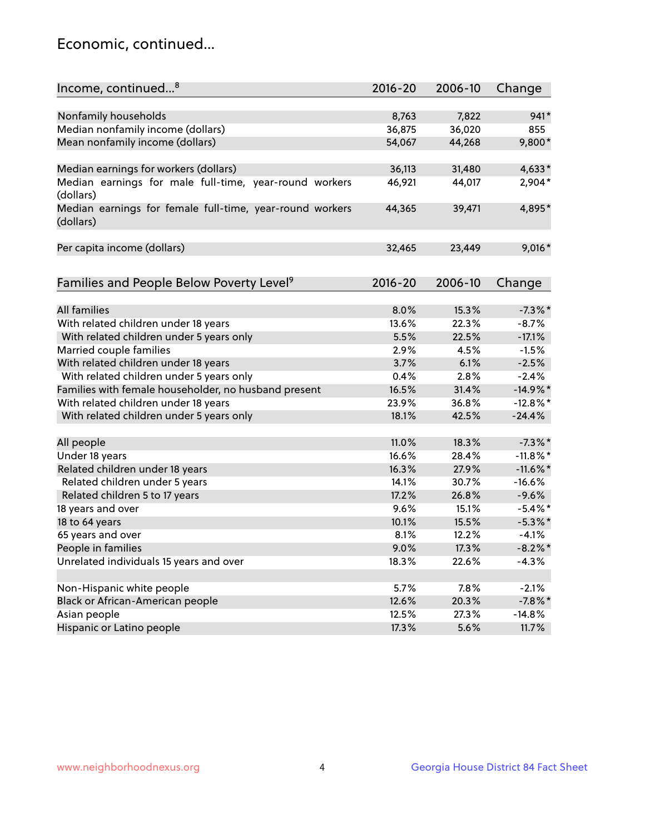## Economic, continued...

| Income, continued <sup>8</sup>                           | $2016 - 20$ | 2006-10 | Change      |
|----------------------------------------------------------|-------------|---------|-------------|
|                                                          |             |         |             |
| Nonfamily households                                     | 8,763       | 7,822   | $941*$      |
| Median nonfamily income (dollars)                        | 36,875      | 36,020  | 855         |
| Mean nonfamily income (dollars)                          | 54,067      | 44,268  | 9,800*      |
|                                                          |             |         |             |
| Median earnings for workers (dollars)                    | 36,113      | 31,480  | $4,633*$    |
| Median earnings for male full-time, year-round workers   | 46,921      | 44,017  | 2,904*      |
| (dollars)                                                |             |         |             |
| Median earnings for female full-time, year-round workers | 44,365      | 39,471  | 4,895*      |
| (dollars)                                                |             |         |             |
|                                                          |             |         |             |
| Per capita income (dollars)                              | 32,465      | 23,449  | $9,016*$    |
|                                                          |             |         |             |
| Families and People Below Poverty Level <sup>9</sup>     | $2016 - 20$ | 2006-10 | Change      |
|                                                          |             |         |             |
| <b>All families</b>                                      | 8.0%        | 15.3%   | $-7.3\%$ *  |
| With related children under 18 years                     | 13.6%       | 22.3%   | $-8.7%$     |
| With related children under 5 years only                 | 5.5%        | 22.5%   | $-17.1%$    |
| Married couple families                                  | 2.9%        | 4.5%    | $-1.5%$     |
| With related children under 18 years                     | 3.7%        | 6.1%    | $-2.5%$     |
| With related children under 5 years only                 | 0.4%        | 2.8%    | $-2.4%$     |
| Families with female householder, no husband present     | 16.5%       | 31.4%   | $-14.9%$ *  |
| With related children under 18 years                     | 23.9%       | 36.8%   | $-12.8\%$ * |
| With related children under 5 years only                 | 18.1%       | 42.5%   | $-24.4%$    |
|                                                          |             |         |             |
| All people                                               | 11.0%       | 18.3%   | $-7.3\%$ *  |
| Under 18 years                                           | 16.6%       | 28.4%   | $-11.8\%$ * |
| Related children under 18 years                          | 16.3%       | 27.9%   | $-11.6\%$ * |
| Related children under 5 years                           | 14.1%       | 30.7%   | $-16.6%$    |
| Related children 5 to 17 years                           | 17.2%       | 26.8%   | $-9.6%$     |
| 18 years and over                                        | 9.6%        | 15.1%   | $-5.4\%$ *  |
| 18 to 64 years                                           | 10.1%       | 15.5%   | $-5.3\%$ *  |
| 65 years and over                                        | 8.1%        | 12.2%   | $-4.1%$     |
| People in families                                       | 9.0%        | 17.3%   | $-8.2\%$ *  |
| Unrelated individuals 15 years and over                  | 18.3%       | 22.6%   | $-4.3%$     |
|                                                          |             |         |             |
| Non-Hispanic white people                                | 5.7%        | 7.8%    | $-2.1%$     |
| Black or African-American people                         | 12.6%       | 20.3%   | $-7.8\%$ *  |
| Asian people                                             | 12.5%       | 27.3%   | $-14.8%$    |
| Hispanic or Latino people                                | 17.3%       | 5.6%    | 11.7%       |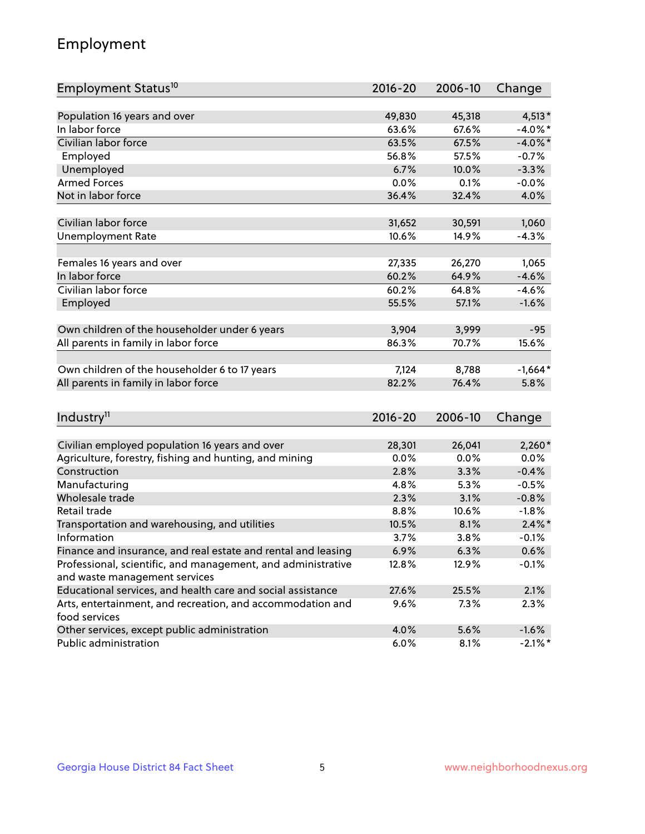## Employment

| Employment Status <sup>10</sup>                                             | $2016 - 20$ | 2006-10 | Change     |
|-----------------------------------------------------------------------------|-------------|---------|------------|
|                                                                             |             |         |            |
| Population 16 years and over                                                | 49,830      | 45,318  | $4,513*$   |
| In labor force                                                              | 63.6%       | 67.6%   | $-4.0\%$ * |
| Civilian labor force                                                        | 63.5%       | 67.5%   | $-4.0\%$ * |
| Employed                                                                    | 56.8%       | 57.5%   | $-0.7%$    |
| Unemployed                                                                  | 6.7%        | 10.0%   | $-3.3%$    |
| <b>Armed Forces</b>                                                         | 0.0%        | 0.1%    | $-0.0%$    |
| Not in labor force                                                          | 36.4%       | 32.4%   | 4.0%       |
| Civilian labor force                                                        | 31,652      | 30,591  | 1,060      |
| <b>Unemployment Rate</b>                                                    | 10.6%       | 14.9%   | $-4.3%$    |
|                                                                             |             |         |            |
| Females 16 years and over                                                   | 27,335      | 26,270  | 1,065      |
| In labor force                                                              | 60.2%       | 64.9%   | $-4.6%$    |
| Civilian labor force                                                        | 60.2%       | 64.8%   | $-4.6%$    |
| Employed                                                                    | 55.5%       | 57.1%   | $-1.6%$    |
|                                                                             |             |         |            |
| Own children of the householder under 6 years                               | 3,904       | 3,999   | $-95$      |
| All parents in family in labor force                                        | 86.3%       | 70.7%   | 15.6%      |
| Own children of the householder 6 to 17 years                               | 7,124       | 8,788   | $-1,664*$  |
| All parents in family in labor force                                        | 82.2%       | 76.4%   | 5.8%       |
|                                                                             |             |         |            |
| Industry <sup>11</sup>                                                      | $2016 - 20$ | 2006-10 | Change     |
|                                                                             |             |         |            |
| Civilian employed population 16 years and over                              | 28,301      | 26,041  | $2,260*$   |
| Agriculture, forestry, fishing and hunting, and mining                      | 0.0%        | 0.0%    | 0.0%       |
| Construction                                                                | 2.8%        | 3.3%    | $-0.4%$    |
| Manufacturing                                                               | 4.8%        | 5.3%    | $-0.5%$    |
| Wholesale trade                                                             | 2.3%        | 3.1%    | $-0.8%$    |
| Retail trade                                                                | 8.8%        | 10.6%   | $-1.8%$    |
| Transportation and warehousing, and utilities                               | 10.5%       | 8.1%    | $2.4\%$ *  |
| Information                                                                 | 3.7%        | 3.8%    | $-0.1%$    |
| Finance and insurance, and real estate and rental and leasing               | 6.9%        | 6.3%    | 0.6%       |
| Professional, scientific, and management, and administrative                | 12.8%       | 12.9%   | $-0.1%$    |
| and waste management services                                               |             |         |            |
| Educational services, and health care and social assistance                 | 27.6%       | 25.5%   | 2.1%       |
| Arts, entertainment, and recreation, and accommodation and<br>food services | $9.6\%$     | 7.3%    | 2.3%       |
| Other services, except public administration                                | 4.0%        | 5.6%    | $-1.6%$    |
| Public administration                                                       | 6.0%        | 8.1%    | $-2.1\%$ * |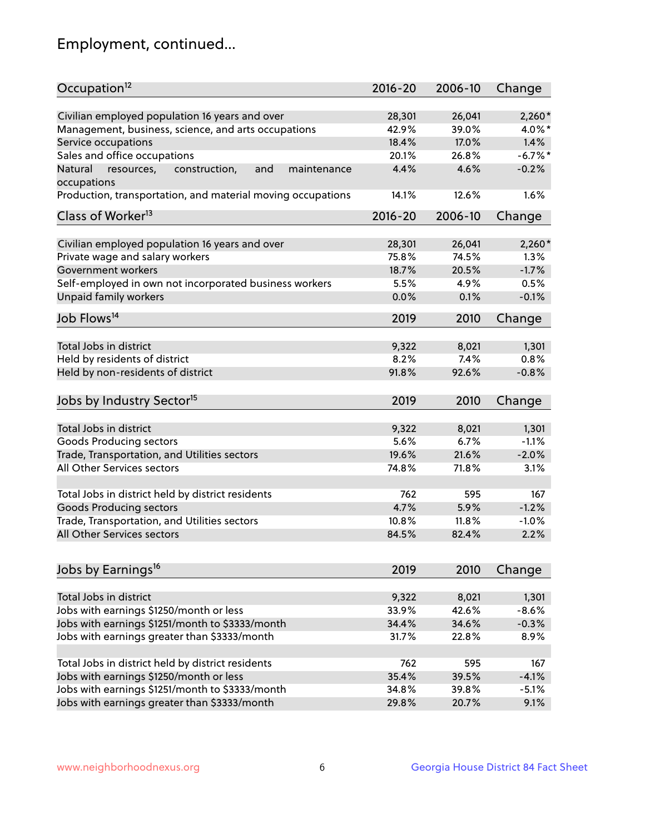## Employment, continued...

| Civilian employed population 16 years and over<br>28,301<br>26,041<br>Management, business, science, and arts occupations<br>42.9%<br>39.0%<br>17.0%<br>Service occupations<br>18.4%<br>Sales and office occupations<br>20.1%<br>26.8%<br>4.6%<br>Natural<br>and<br>4.4%<br>resources,<br>construction,<br>maintenance<br>occupations | $2,260*$<br>4.0%*<br>1.4%<br>$-6.7\%$ *<br>$-0.2%$<br>1.6%<br>Change |
|---------------------------------------------------------------------------------------------------------------------------------------------------------------------------------------------------------------------------------------------------------------------------------------------------------------------------------------|----------------------------------------------------------------------|
|                                                                                                                                                                                                                                                                                                                                       |                                                                      |
|                                                                                                                                                                                                                                                                                                                                       |                                                                      |
|                                                                                                                                                                                                                                                                                                                                       |                                                                      |
|                                                                                                                                                                                                                                                                                                                                       |                                                                      |
|                                                                                                                                                                                                                                                                                                                                       |                                                                      |
|                                                                                                                                                                                                                                                                                                                                       |                                                                      |
| Production, transportation, and material moving occupations<br>14.1%<br>12.6%                                                                                                                                                                                                                                                         |                                                                      |
| Class of Worker <sup>13</sup><br>$2016 - 20$<br>2006-10                                                                                                                                                                                                                                                                               |                                                                      |
| Civilian employed population 16 years and over<br>28,301<br>26,041                                                                                                                                                                                                                                                                    | $2,260*$                                                             |
| Private wage and salary workers<br>75.8%<br>74.5%                                                                                                                                                                                                                                                                                     | 1.3%                                                                 |
| Government workers<br>18.7%<br>20.5%                                                                                                                                                                                                                                                                                                  | $-1.7%$                                                              |
| Self-employed in own not incorporated business workers<br>5.5%<br>4.9%                                                                                                                                                                                                                                                                | 0.5%                                                                 |
| Unpaid family workers<br>0.0%<br>0.1%                                                                                                                                                                                                                                                                                                 | $-0.1%$                                                              |
|                                                                                                                                                                                                                                                                                                                                       |                                                                      |
| Job Flows <sup>14</sup><br>2019<br>2010                                                                                                                                                                                                                                                                                               | Change                                                               |
| Total Jobs in district<br>9,322<br>8,021                                                                                                                                                                                                                                                                                              | 1,301                                                                |
| Held by residents of district<br>8.2%<br>7.4%                                                                                                                                                                                                                                                                                         | 0.8%                                                                 |
| Held by non-residents of district<br>91.8%<br>92.6%                                                                                                                                                                                                                                                                                   | $-0.8%$                                                              |
|                                                                                                                                                                                                                                                                                                                                       |                                                                      |
| Jobs by Industry Sector <sup>15</sup><br>2019<br>2010                                                                                                                                                                                                                                                                                 | Change                                                               |
| 9,322<br>Total Jobs in district<br>8,021                                                                                                                                                                                                                                                                                              | 1,301                                                                |
| Goods Producing sectors<br>5.6%<br>6.7%                                                                                                                                                                                                                                                                                               | $-1.1%$                                                              |
| Trade, Transportation, and Utilities sectors<br>19.6%<br>21.6%                                                                                                                                                                                                                                                                        | $-2.0%$                                                              |
| All Other Services sectors<br>74.8%<br>71.8%                                                                                                                                                                                                                                                                                          | 3.1%                                                                 |
|                                                                                                                                                                                                                                                                                                                                       |                                                                      |
| Total Jobs in district held by district residents<br>762<br>595                                                                                                                                                                                                                                                                       | 167                                                                  |
| 4.7%<br><b>Goods Producing sectors</b><br>5.9%                                                                                                                                                                                                                                                                                        | $-1.2%$                                                              |
| Trade, Transportation, and Utilities sectors<br>10.8%<br>11.8%                                                                                                                                                                                                                                                                        | $-1.0%$                                                              |
| All Other Services sectors<br>84.5%<br>82.4%                                                                                                                                                                                                                                                                                          | 2.2%                                                                 |
|                                                                                                                                                                                                                                                                                                                                       |                                                                      |
| Jobs by Earnings <sup>16</sup><br>2019<br>2010                                                                                                                                                                                                                                                                                        | Change                                                               |
|                                                                                                                                                                                                                                                                                                                                       |                                                                      |
| Total Jobs in district<br>9,322<br>8,021                                                                                                                                                                                                                                                                                              | 1,301                                                                |
| Jobs with earnings \$1250/month or less<br>33.9%<br>42.6%                                                                                                                                                                                                                                                                             | $-8.6%$                                                              |
| Jobs with earnings \$1251/month to \$3333/month<br>34.4%<br>34.6%                                                                                                                                                                                                                                                                     | $-0.3%$                                                              |
| Jobs with earnings greater than \$3333/month<br>31.7%<br>22.8%                                                                                                                                                                                                                                                                        | 8.9%                                                                 |
| Total Jobs in district held by district residents<br>762<br>595                                                                                                                                                                                                                                                                       | 167                                                                  |
| Jobs with earnings \$1250/month or less<br>35.4%<br>39.5%                                                                                                                                                                                                                                                                             | $-4.1%$                                                              |
| Jobs with earnings \$1251/month to \$3333/month<br>34.8%<br>39.8%                                                                                                                                                                                                                                                                     | $-5.1%$                                                              |
| Jobs with earnings greater than \$3333/month<br>29.8%<br>20.7%                                                                                                                                                                                                                                                                        | 9.1%                                                                 |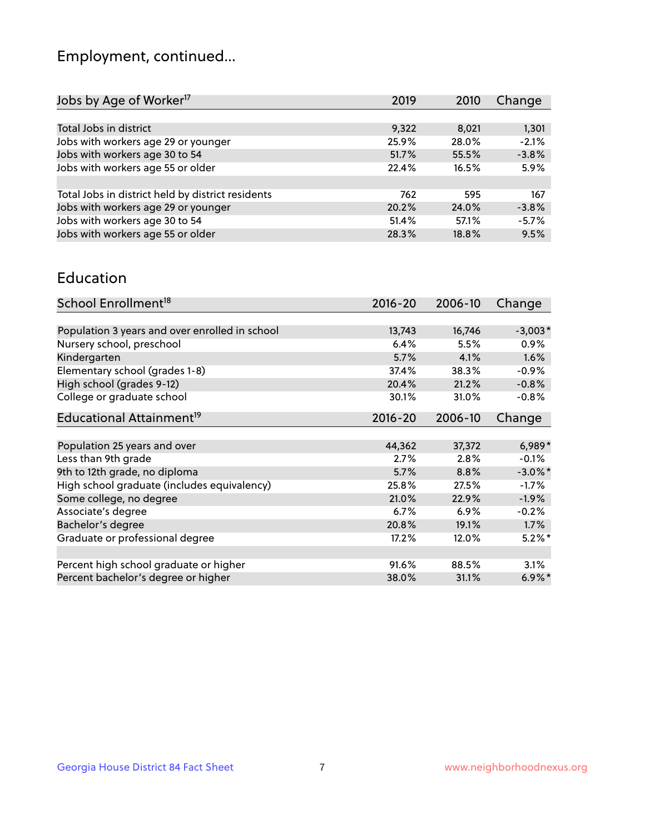## Employment, continued...

| Change  |
|---------|
|         |
| 1,301   |
| $-2.1%$ |
| $-3.8%$ |
| 5.9%    |
|         |
| 167     |
| $-3.8%$ |
| $-5.7%$ |
| 9.5%    |
|         |

#### Education

| School Enrollment <sup>18</sup>                | $2016 - 20$ | 2006-10 | Change     |
|------------------------------------------------|-------------|---------|------------|
|                                                |             |         |            |
| Population 3 years and over enrolled in school | 13,743      | 16,746  | $-3,003*$  |
| Nursery school, preschool                      | 6.4%        | 5.5%    | $0.9\%$    |
| Kindergarten                                   | 5.7%        | 4.1%    | 1.6%       |
| Elementary school (grades 1-8)                 | 37.4%       | 38.3%   | $-0.9%$    |
| High school (grades 9-12)                      | 20.4%       | 21.2%   | $-0.8%$    |
| College or graduate school                     | 30.1%       | 31.0%   | $-0.8%$    |
| Educational Attainment <sup>19</sup>           | $2016 - 20$ | 2006-10 | Change     |
|                                                |             |         |            |
| Population 25 years and over                   | 44,362      | 37,372  | 6,989*     |
| Less than 9th grade                            | 2.7%        | 2.8%    | $-0.1%$    |
| 9th to 12th grade, no diploma                  | 5.7%        | 8.8%    | $-3.0\%$ * |
| High school graduate (includes equivalency)    | 25.8%       | 27.5%   | $-1.7%$    |
| Some college, no degree                        | 21.0%       | 22.9%   | $-1.9%$    |
| Associate's degree                             | 6.7%        | 6.9%    | $-0.2%$    |
| Bachelor's degree                              | 20.8%       | 19.1%   | 1.7%       |
| Graduate or professional degree                | 17.2%       | 12.0%   | $5.2\%$ *  |
|                                                |             |         |            |
| Percent high school graduate or higher         | 91.6%       | 88.5%   | 3.1%       |
| Percent bachelor's degree or higher            | 38.0%       | 31.1%   | $6.9\%$ *  |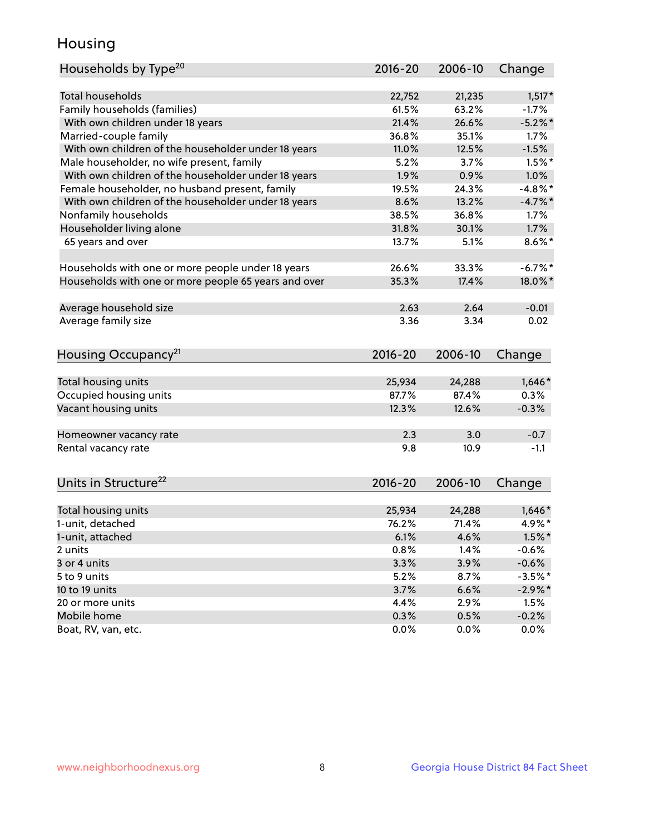## Housing

| Households by Type <sup>20</sup>                     | 2016-20     | 2006-10 | Change     |
|------------------------------------------------------|-------------|---------|------------|
|                                                      |             |         |            |
| <b>Total households</b>                              | 22,752      | 21,235  | $1,517*$   |
| Family households (families)                         | 61.5%       | 63.2%   | $-1.7%$    |
| With own children under 18 years                     | 21.4%       | 26.6%   | $-5.2%$    |
| Married-couple family                                | 36.8%       | 35.1%   | 1.7%       |
| With own children of the householder under 18 years  | 11.0%       | 12.5%   | $-1.5%$    |
| Male householder, no wife present, family            | 5.2%        | 3.7%    | $1.5%$ *   |
| With own children of the householder under 18 years  | 1.9%        | 0.9%    | 1.0%       |
| Female householder, no husband present, family       | 19.5%       | 24.3%   | $-4.8\%$ * |
| With own children of the householder under 18 years  | 8.6%        | 13.2%   | $-4.7\%$ * |
| Nonfamily households                                 | 38.5%       | 36.8%   | $1.7\%$    |
| Householder living alone                             | 31.8%       | 30.1%   | 1.7%       |
| 65 years and over                                    | 13.7%       | 5.1%    | $8.6\%$ *  |
| Households with one or more people under 18 years    | 26.6%       | 33.3%   | $-6.7\%$ * |
| Households with one or more people 65 years and over | 35.3%       | 17.4%   | 18.0%*     |
| Average household size                               | 2.63        | 2.64    | $-0.01$    |
| Average family size                                  | 3.36        | 3.34    | 0.02       |
|                                                      |             |         |            |
| Housing Occupancy <sup>21</sup>                      | $2016 - 20$ | 2006-10 | Change     |
| Total housing units                                  | 25,934      | 24,288  | $1,646*$   |
| Occupied housing units                               | 87.7%       | 87.4%   | 0.3%       |
| Vacant housing units                                 | 12.3%       | 12.6%   | $-0.3%$    |
|                                                      |             |         |            |
| Homeowner vacancy rate                               | 2.3         | 3.0     | $-0.7$     |
| Rental vacancy rate                                  | 9.8         | 10.9    | $-1.1$     |
| Units in Structure <sup>22</sup>                     | 2016-20     | 2006-10 | Change     |
|                                                      |             |         |            |
| Total housing units                                  | 25,934      | 24,288  | $1,646*$   |
| 1-unit, detached                                     | 76.2%       | 71.4%   | 4.9%*      |
| 1-unit, attached                                     | 6.1%        | 4.6%    | $1.5\%$ *  |
| 2 units                                              | 0.8%        | 1.4%    | $-0.6%$    |
| 3 or 4 units                                         | 3.3%        | 3.9%    | $-0.6%$    |
| 5 to 9 units                                         | 5.2%        | 8.7%    | $-3.5%$ *  |
| 10 to 19 units                                       | 3.7%        | 6.6%    | $-2.9\%$ * |
| 20 or more units                                     | 4.4%        | 2.9%    | 1.5%       |
| Mobile home                                          | 0.3%        | 0.5%    | $-0.2%$    |
| Boat, RV, van, etc.                                  | 0.0%        | 0.0%    | 0.0%       |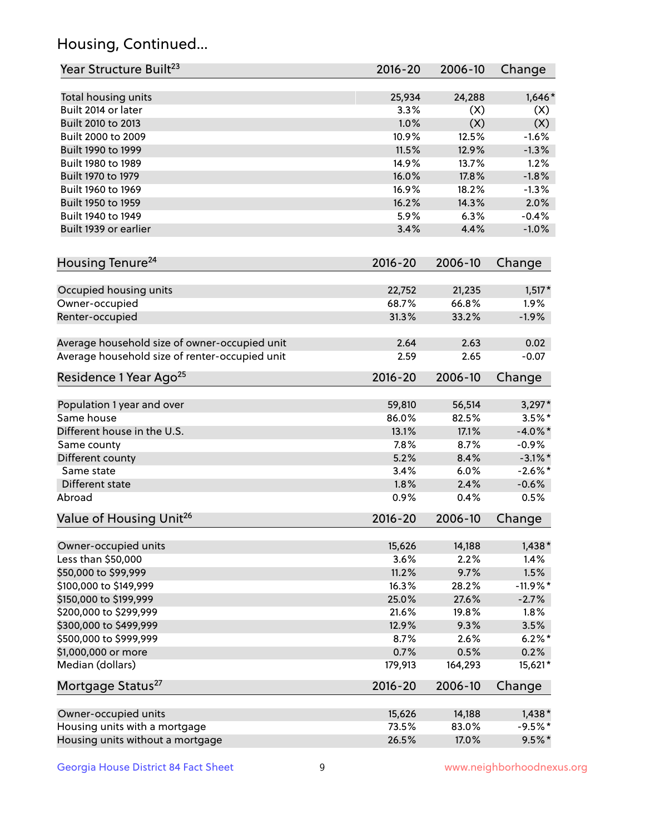## Housing, Continued...

| Year Structure Built <sup>23</sup>             | 2016-20     | 2006-10 | Change                |
|------------------------------------------------|-------------|---------|-----------------------|
| Total housing units                            | 25,934      | 24,288  | $1,646*$              |
| Built 2014 or later                            | 3.3%        | (X)     | (X)                   |
| Built 2010 to 2013                             | 1.0%        | (X)     | (X)                   |
| Built 2000 to 2009                             | 10.9%       | 12.5%   | $-1.6%$               |
| Built 1990 to 1999                             | 11.5%       | 12.9%   | $-1.3%$               |
| Built 1980 to 1989                             | 14.9%       | 13.7%   | 1.2%                  |
| Built 1970 to 1979                             | 16.0%       | 17.8%   | $-1.8%$               |
| Built 1960 to 1969                             | 16.9%       | 18.2%   | $-1.3%$               |
| Built 1950 to 1959                             | 16.2%       | 14.3%   | 2.0%                  |
| Built 1940 to 1949                             | 5.9%        | 6.3%    | $-0.4%$               |
| Built 1939 or earlier                          | 3.4%        | 4.4%    | $-1.0%$               |
|                                                |             |         |                       |
| Housing Tenure <sup>24</sup>                   | $2016 - 20$ | 2006-10 | Change                |
| Occupied housing units                         | 22,752      | 21,235  | $1,517*$              |
| Owner-occupied                                 | 68.7%       | 66.8%   | 1.9%                  |
| Renter-occupied                                | 31.3%       | 33.2%   | $-1.9%$               |
| Average household size of owner-occupied unit  | 2.64        | 2.63    | 0.02                  |
| Average household size of renter-occupied unit | 2.59        | 2.65    | $-0.07$               |
| Residence 1 Year Ago <sup>25</sup>             | $2016 - 20$ | 2006-10 | Change                |
|                                                | 59,810      | 56,514  |                       |
| Population 1 year and over<br>Same house       | 86.0%       | 82.5%   | $3,297*$<br>$3.5\%$ * |
| Different house in the U.S.                    | 13.1%       | 17.1%   | $-4.0\%$ *            |
|                                                | 7.8%        | 8.7%    | $-0.9%$               |
| Same county                                    | 5.2%        | 8.4%    | $-3.1\%$ *            |
| Different county<br>Same state                 | 3.4%        | 6.0%    | $-2.6\%$ *            |
|                                                |             | 2.4%    |                       |
| Different state                                | 1.8%        |         | $-0.6%$               |
| Abroad                                         | 0.9%        | 0.4%    | 0.5%                  |
| Value of Housing Unit <sup>26</sup>            | $2016 - 20$ | 2006-10 | Change                |
| Owner-occupied units                           | 15,626      | 14,188  | $1,438*$              |
| Less than \$50,000                             | 3.6%        | 2.2%    | 1.4%                  |
| \$50,000 to \$99,999                           | 11.2%       | 9.7%    | 1.5%                  |
| \$100,000 to \$149,999                         | 16.3%       | 28.2%   | $-11.9%$ *            |
| \$150,000 to \$199,999                         | 25.0%       | 27.6%   | $-2.7%$               |
| \$200,000 to \$299,999                         | 21.6%       | 19.8%   | 1.8%                  |
| \$300,000 to \$499,999                         | 12.9%       | 9.3%    | 3.5%                  |
| \$500,000 to \$999,999                         | 8.7%        | 2.6%    | $6.2%$ *              |
| \$1,000,000 or more                            | 0.7%        | 0.5%    | 0.2%                  |
| Median (dollars)                               | 179,913     | 164,293 | 15,621*               |
| Mortgage Status <sup>27</sup>                  | $2016 - 20$ | 2006-10 | Change                |
| Owner-occupied units                           | 15,626      | 14,188  | $1,438*$              |
| Housing units with a mortgage                  | 73.5%       | 83.0%   | $-9.5%$ *             |
| Housing units without a mortgage               | 26.5%       | 17.0%   | $9.5%$ *              |
|                                                |             |         |                       |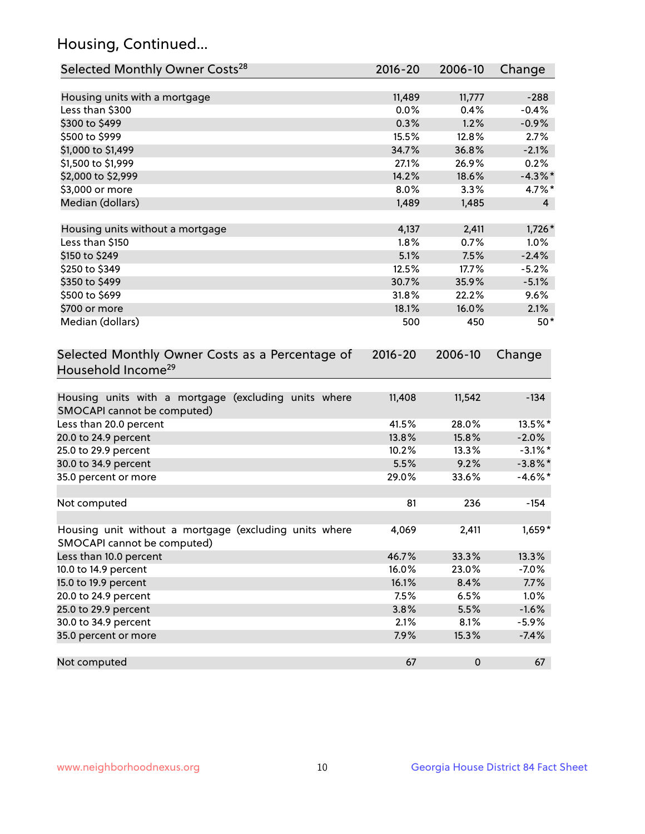## Housing, Continued...

| Selected Monthly Owner Costs <sup>28</sup>                                            | 2016-20     | 2006-10 | Change         |
|---------------------------------------------------------------------------------------|-------------|---------|----------------|
| Housing units with a mortgage                                                         | 11,489      | 11,777  | $-288$         |
| Less than \$300                                                                       | 0.0%        | 0.4%    | $-0.4%$        |
| \$300 to \$499                                                                        | 0.3%        | 1.2%    | $-0.9%$        |
| \$500 to \$999                                                                        | 15.5%       | 12.8%   | 2.7%           |
| \$1,000 to \$1,499                                                                    | 34.7%       | 36.8%   | $-2.1%$        |
| \$1,500 to \$1,999                                                                    | 27.1%       | 26.9%   | 0.2%           |
| \$2,000 to \$2,999                                                                    | 14.2%       | 18.6%   | $-4.3\%$ *     |
| \$3,000 or more                                                                       | 8.0%        | 3.3%    | 4.7%*          |
| Median (dollars)                                                                      | 1,489       | 1,485   | $\overline{4}$ |
|                                                                                       |             |         |                |
| Housing units without a mortgage                                                      | 4,137       | 2,411   | $1,726*$       |
| Less than \$150                                                                       | 1.8%        | 0.7%    | 1.0%           |
| \$150 to \$249                                                                        | 5.1%        | 7.5%    | $-2.4%$        |
| \$250 to \$349                                                                        | 12.5%       | 17.7%   | $-5.2%$        |
| \$350 to \$499                                                                        | 30.7%       | 35.9%   | $-5.1%$        |
| \$500 to \$699                                                                        | 31.8%       | 22.2%   | 9.6%           |
| \$700 or more                                                                         | 18.1%       | 16.0%   | 2.1%           |
| Median (dollars)                                                                      | 500         | 450     | $50*$          |
| Selected Monthly Owner Costs as a Percentage of<br>Household Income <sup>29</sup>     | $2016 - 20$ | 2006-10 | Change         |
| Housing units with a mortgage (excluding units where<br>SMOCAPI cannot be computed)   | 11,408      | 11,542  | $-134$         |
| Less than 20.0 percent                                                                | 41.5%       | 28.0%   | 13.5%*         |
| 20.0 to 24.9 percent                                                                  | 13.8%       | 15.8%   | $-2.0%$        |
| 25.0 to 29.9 percent                                                                  | 10.2%       | 13.3%   | $-3.1\%$ *     |
| 30.0 to 34.9 percent                                                                  | 5.5%        | 9.2%    | $-3.8\%$ *     |
| 35.0 percent or more                                                                  | 29.0%       | 33.6%   | $-4.6\%$ *     |
| Not computed                                                                          | 81          | 236     | $-154$         |
| Housing unit without a mortgage (excluding units where<br>SMOCAPI cannot be computed) | 4,069       | 2,411   | $1,659*$       |
| Less than 10.0 percent                                                                | 46.7%       | 33.3%   | 13.3%          |
| 10.0 to 14.9 percent                                                                  | 16.0%       | 23.0%   | $-7.0%$        |
| 15.0 to 19.9 percent                                                                  | 16.1%       | 8.4%    | 7.7%           |
| 20.0 to 24.9 percent                                                                  | 7.5%        | 6.5%    | 1.0%           |
| 25.0 to 29.9 percent                                                                  | 3.8%        | 5.5%    | $-1.6%$        |
| 30.0 to 34.9 percent                                                                  | 2.1%        | 8.1%    | $-5.9%$        |
| 35.0 percent or more                                                                  | 7.9%        | 15.3%   | $-7.4%$        |
| Not computed                                                                          | 67          | 0       | 67             |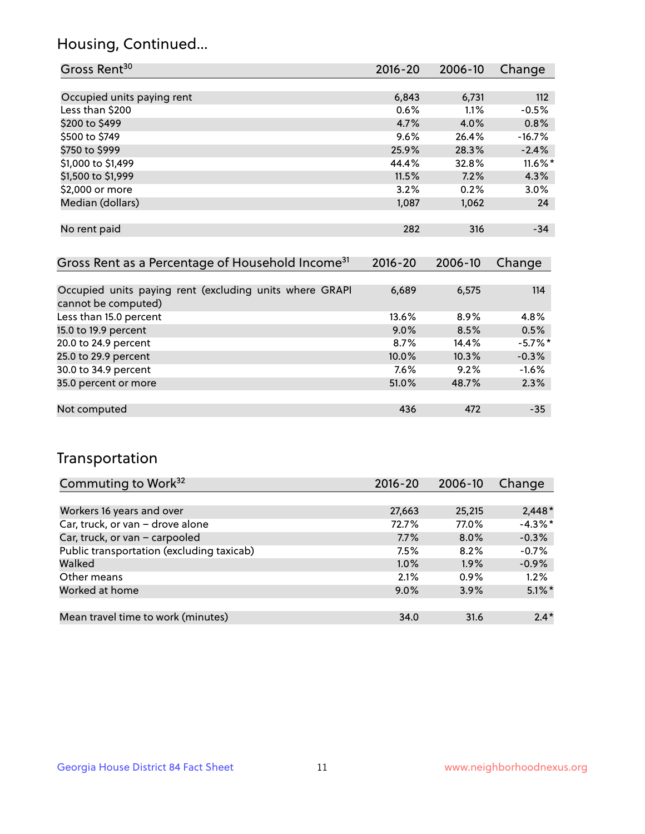## Housing, Continued...

| Gross Rent <sup>30</sup>   | $2016 - 20$ | 2006-10 | Change     |
|----------------------------|-------------|---------|------------|
|                            |             |         |            |
| Occupied units paying rent | 6,843       | 6,731   | 112        |
| Less than \$200            | 0.6%        | 1.1%    | $-0.5%$    |
| \$200 to \$499             | 4.7%        | 4.0%    | 0.8%       |
| \$500 to \$749             | 9.6%        | 26.4%   | $-16.7%$   |
| \$750 to \$999             | 25.9%       | 28.3%   | $-2.4%$    |
| \$1,000 to \$1,499         | 44.4%       | 32.8%   | $11.6\%$ * |
| \$1,500 to \$1,999         | 11.5%       | 7.2%    | 4.3%       |
| \$2,000 or more            | 3.2%        | 0.2%    | 3.0%       |
| Median (dollars)           | 1,087       | 1,062   | 24         |
|                            |             |         |            |
| No rent paid               | 282         | 316     | $-34$      |
|                            |             |         |            |

| Gross Rent as a Percentage of Household Income <sup>31</sup>                   | $2016 - 20$ | 2006-10 | Change    |
|--------------------------------------------------------------------------------|-------------|---------|-----------|
|                                                                                |             |         |           |
| Occupied units paying rent (excluding units where GRAPI<br>cannot be computed) | 6,689       | 6,575   | 114       |
| Less than 15.0 percent                                                         | 13.6%       | 8.9%    | 4.8%      |
| 15.0 to 19.9 percent                                                           | $9.0\%$     | 8.5%    | 0.5%      |
| 20.0 to 24.9 percent                                                           | 8.7%        | 14.4%   | $-5.7%$ * |
| 25.0 to 29.9 percent                                                           | 10.0%       | 10.3%   | $-0.3%$   |
| 30.0 to 34.9 percent                                                           | 7.6%        | 9.2%    | $-1.6%$   |
| 35.0 percent or more                                                           | 51.0%       | 48.7%   | 2.3%      |
|                                                                                |             |         |           |
| Not computed                                                                   | 436         | 472     | $-35$     |

## Transportation

| Commuting to Work <sup>32</sup>           | 2016-20 | 2006-10 | Change     |
|-------------------------------------------|---------|---------|------------|
|                                           |         |         |            |
| Workers 16 years and over                 | 27,663  | 25,215  | $2,448*$   |
| Car, truck, or van - drove alone          | 72.7%   | 77.0%   | $-4.3\%$ * |
| Car, truck, or van - carpooled            | 7.7%    | $8.0\%$ | $-0.3%$    |
| Public transportation (excluding taxicab) | 7.5%    | 8.2%    | $-0.7%$    |
| Walked                                    | 1.0%    | 1.9%    | $-0.9%$    |
| Other means                               | 2.1%    | $0.9\%$ | 1.2%       |
| Worked at home                            | 9.0%    | 3.9%    | $5.1\%$ *  |
|                                           |         |         |            |
| Mean travel time to work (minutes)        | 34.0    | 31.6    | $2.4*$     |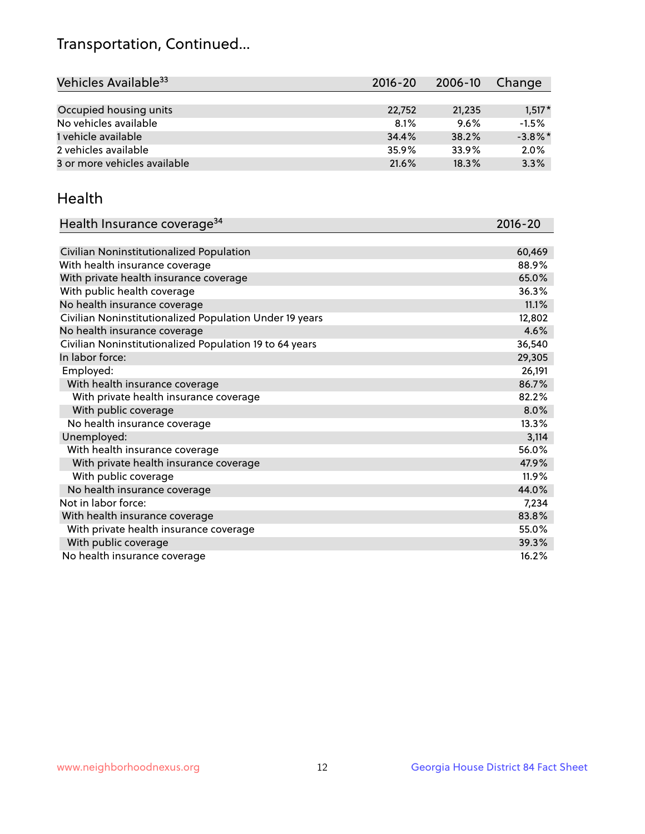## Transportation, Continued...

| Vehicles Available <sup>33</sup> | 2016-20 | 2006-10 | Change     |
|----------------------------------|---------|---------|------------|
|                                  |         |         |            |
| Occupied housing units           | 22,752  | 21,235  | $1,517*$   |
| No vehicles available            | 8.1%    | 9.6%    | $-1.5%$    |
| 1 vehicle available              | 34.4%   | 38.2%   | $-3.8\%$ * |
| 2 vehicles available             | 35.9%   | 33.9%   | 2.0%       |
| 3 or more vehicles available     | 21.6%   | 18.3%   | 3.3%       |

#### Health

| Health Insurance coverage <sup>34</sup>                 | 2016-20 |
|---------------------------------------------------------|---------|
|                                                         |         |
| Civilian Noninstitutionalized Population                | 60,469  |
| With health insurance coverage                          | 88.9%   |
| With private health insurance coverage                  | 65.0%   |
| With public health coverage                             | 36.3%   |
| No health insurance coverage                            | 11.1%   |
| Civilian Noninstitutionalized Population Under 19 years | 12,802  |
| No health insurance coverage                            | 4.6%    |
| Civilian Noninstitutionalized Population 19 to 64 years | 36,540  |
| In labor force:                                         | 29,305  |
| Employed:                                               | 26,191  |
| With health insurance coverage                          | 86.7%   |
| With private health insurance coverage                  | 82.2%   |
| With public coverage                                    | 8.0%    |
| No health insurance coverage                            | 13.3%   |
| Unemployed:                                             | 3,114   |
| With health insurance coverage                          | 56.0%   |
| With private health insurance coverage                  | 47.9%   |
| With public coverage                                    | 11.9%   |
| No health insurance coverage                            | 44.0%   |
| Not in labor force:                                     | 7,234   |
| With health insurance coverage                          | 83.8%   |
| With private health insurance coverage                  | 55.0%   |
| With public coverage                                    | 39.3%   |
| No health insurance coverage                            | 16.2%   |